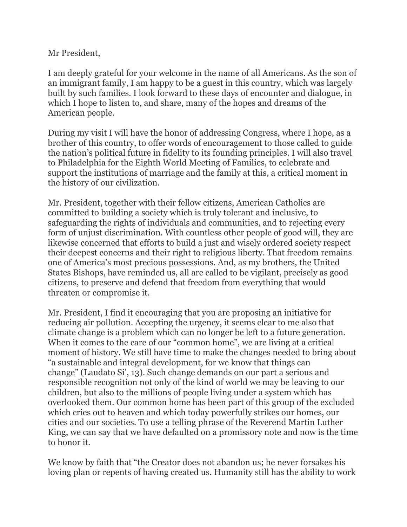Mr President,

I am deeply grateful for your welcome in the name of all Americans. As the son of an immigrant family, I am happy to be a guest in this country, which was largely built by such families. I look forward to these days of encounter and dialogue, in which I hope to listen to, and share, many of the hopes and dreams of the American people.

During my visit I will have the honor of addressing Congress, where I hope, as a brother of this country, to offer words of encouragement to those called to guide the nation's political future in fidelity to its founding principles. I will also travel to Philadelphia for the Eighth World Meeting of Families, to celebrate and support the institutions of marriage and the family at this, a critical moment in the history of our civilization.

Mr. President, together with their fellow citizens, American Catholics are committed to building a society which is truly tolerant and inclusive, to safeguarding the rights of individuals and communities, and to rejecting every form of unjust discrimination. With countless other people of good will, they are likewise concerned that efforts to build a just and wisely ordered society respect their deepest concerns and their right to religious liberty. That freedom remains one of America's most precious possessions. And, as my brothers, the United States Bishops, have reminded us, all are called to be vigilant, precisely as good citizens, to preserve and defend that freedom from everything that would threaten or compromise it.

Mr. President, I find it encouraging that you are proposing an initiative for reducing air pollution. Accepting the urgency, it seems clear to me also that climate change is a problem which can no longer be left to a future generation. When it comes to the care of our "common home", we are living at a critical moment of history. We still have time to make the changes needed to bring about "a sustainable and integral development, for we know that things can change" (Laudato Si', 13). Such change demands on our part a serious and responsible recognition not only of the kind of world we may be leaving to our children, but also to the millions of people living under a system which has overlooked them. Our common home has been part of this group of the excluded which cries out to heaven and which today powerfully strikes our homes, our cities and our societies. To use a telling phrase of the Reverend Martin Luther King, we can say that we have defaulted on a promissory note and now is the time to honor it.

We know by faith that "the Creator does not abandon us; he never forsakes his loving plan or repents of having created us. Humanity still has the ability to work